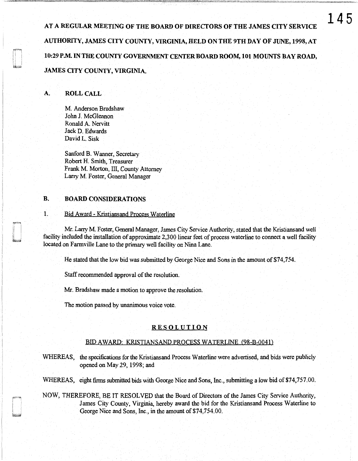AT A REGULAR MEETING OF THE BOARD OF DIRECTORS OF THE JAMES CITY SERVICE AUTHORITY, JAMES CITY COUNTY, VIRGINIA, HELD ON THE 9TH DAY OF JUNE, 1998, AT 10:29 P.M. IN THE COUNTY GOVERNMENT CENTER BOARD ROOM, 101 MOUNTS BAY ROAD, JAMES CITY COUNTY, VIRGINIA.

# A. ROLL CALL

M. Anderson Bradshaw John J. McGlennon Ronald A. Nervitt Jack D. Edwards David L. Sisk

Sanford B. Wanner, Secretary Robert H. Smith, Treasurer Frank M. Morton, III, County Attorney Larry M. Foster, General Manager

# B. BOARD CONSIDERATIONS

## 1. Bid Award- Kristiansand Process Waterline

Mr. Larry M. Foster, General Manager, James City Service Authority, stated that the Kristiansand well facility included the installation of approximate 2,3 00 linear feet of process waterline to connect a well facility located on Farmville Lane to the primary well facility on Nina Lane.

He stated that the low bid was submitted by George Nice and Sons in the amount of \$74,754.

Staff recommended approval of the resolution.

Mr. Bradshaw made a motion to approve the resolution.

The motion passed by unanimous voice vote.

# RESOLUTION

## BID AWARD: KRISTIANSAND PROCESS WATERLINE (98-B-0041)

WHEREAS, the specifications for the Kristiansand Process Waterline were advertised, and bids were publicly opened on May 29, 1998; and

WHEREAS, eight firms submitted bids with George Nice and Sons, Inc., submitting a low bid of \$74,757.00.

NOW, THEREFORE, BE IT RESOLVED that the Board of Directors of the James City Service Authority, James City County, Virginia, hereby award the bid for the Kristiansand Process Waterline to George Nice and Sons, Inc., in the amount of \$74,754.00.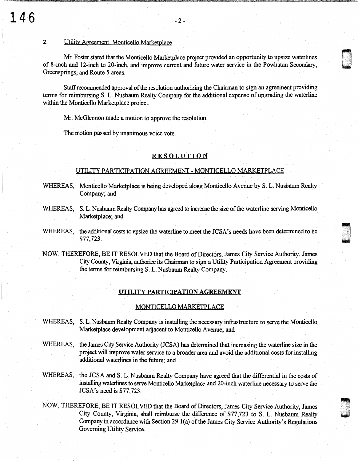#### 2. Utility Agreement. Monticello Marketplace

Mr. Foster stated that the Monticello Marketplace project provided an opportunity to upsize waterlines of 8-inch and 12-inch to 20-inch, and improve current and future water service in the Powhatan Secondary, U Greensprings, and Route 5 areas.

Staff recommended approval of the resolution authorizing the Chairman to sign an agreement providing terms for reimbursing S. L. Nusbaum Realty Company for the additional expense of upgrading the waterline within the Monticello Marketplace project.

Mr. McGlennon made a motion to approve the resolution.

The motion passed by unanimous voice vote.

## **RESOLUTION**

### UTILITY PARTICIPATION AGREEMENT - MONTICELLO MARKETPLACE

- WHEREAS, Monticello Marketplace is being developed along Monticello Avenue by S. L. Nusbaum Realty Company; and
- WHEREAS, S. L. Nusbaum Realty Company has agreed to increase the size of the waterline serving Monticello Marketplace; and
- WHEREAS, the additional costs to upsize the waterline to meet the JCSA's needs have been determined to be \$77,723.  $$77,723.$
- NOW, THEREFORE, BE IT RESOLVED that the Board of Directors, James City Service Authority, James City County, Virginia, authorize its Chairman to sign a Utility Participation Agreement providing the terms for reimbursing S. L. Nusbaum Realty Company.

#### UTILITY PARTICIPATION AGREEMENT

#### MONTICELLO MARKETPLACE

- WHEREAS, S. L. Nusbaum Realty Company is installing the necessary infrastructure to serve the Monticello Marketplace development adjacent to Monticello Avenue; and
- WHEREAS, the James City Service Authority (JCSA) has determined that increasing the waterline size in the project will improve water service to a broader area and avoid the additional costs for installing additional waterlines in the future; and
- WHEREAS, the JCSA and S. L. Nusbaum Realty Company have agreed that the differential in the costs of installing waterlines to serve Monticello Marketplace and 20-inch waterline necessary to serve the JCSA's need is \$77,723.
- NOW, THEREFORE, BE IT RESOLVED that the Board of Directors, James City Service Authority, James City County, Virginia, shall reimburse the difference of \$77,723 to S. L. Nusbaum Realty Company in accordance with Section 29 l(a) of the James City Service Authority's Regulations Governing Utility Service.